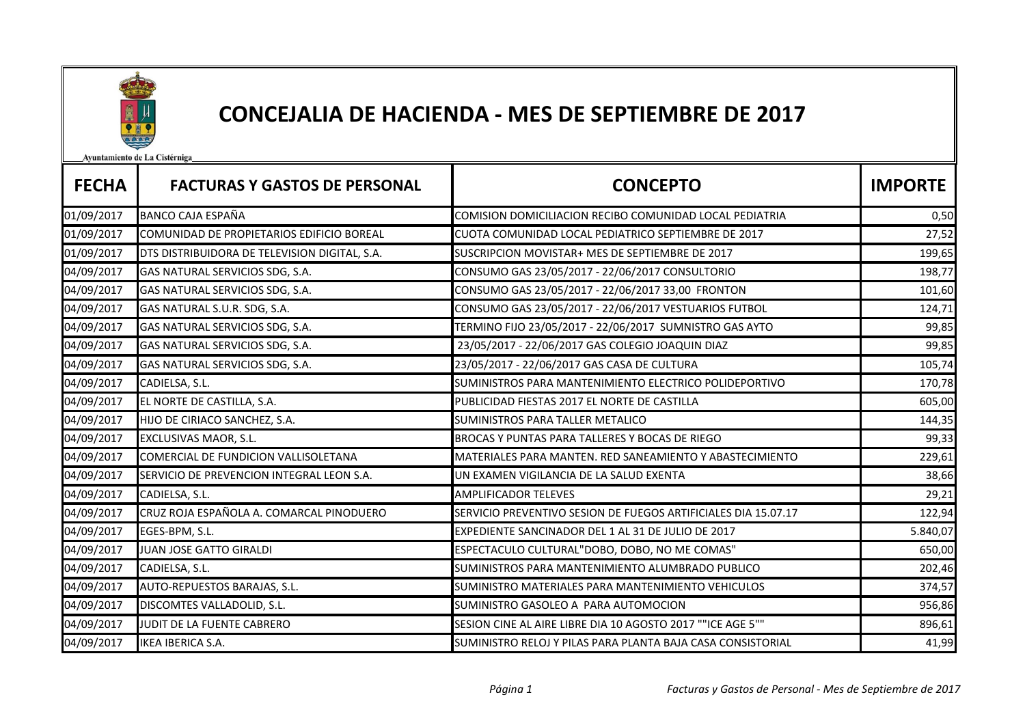

## CONCEJALIA DE HACIENDA - MES DE SEPTIEMBRE DE 2017

Avuntamiento de La Cistérniga

| <b>FECHA</b> | <b>FACTURAS Y GASTOS DE PERSONAL</b>          | <b>CONCEPTO</b>                                                | <b>IMPORTE</b> |
|--------------|-----------------------------------------------|----------------------------------------------------------------|----------------|
| 01/09/2017   | <b>BANCO CAJA ESPAÑA</b>                      | COMISION DOMICILIACION RECIBO COMUNIDAD LOCAL PEDIATRIA        | 0,50           |
| 01/09/2017   | COMUNIDAD DE PROPIETARIOS EDIFICIO BOREAL     | CUOTA COMUNIDAD LOCAL PEDIATRICO SEPTIEMBRE DE 2017            | 27,52          |
| 01/09/2017   | DTS DISTRIBUIDORA DE TELEVISION DIGITAL, S.A. | SUSCRIPCION MOVISTAR+ MES DE SEPTIEMBRE DE 2017                | 199,65         |
| 04/09/2017   | GAS NATURAL SERVICIOS SDG, S.A.               | CONSUMO GAS 23/05/2017 - 22/06/2017 CONSULTORIO                | 198,77         |
| 04/09/2017   | GAS NATURAL SERVICIOS SDG, S.A.               | CONSUMO GAS 23/05/2017 - 22/06/2017 33,00 FRONTON              | 101,60         |
| 04/09/2017   | GAS NATURAL S.U.R. SDG, S.A.                  | CONSUMO GAS 23/05/2017 - 22/06/2017 VESTUARIOS FUTBOL          | 124,71         |
| 04/09/2017   | GAS NATURAL SERVICIOS SDG, S.A.               | TERMINO FIJO 23/05/2017 - 22/06/2017 SUMNISTRO GAS AYTO        | 99,85          |
| 04/09/2017   | GAS NATURAL SERVICIOS SDG, S.A.               | 23/05/2017 - 22/06/2017 GAS COLEGIO JOAQUIN DIAZ               | 99,85          |
| 04/09/2017   | GAS NATURAL SERVICIOS SDG, S.A.               | 23/05/2017 - 22/06/2017 GAS CASA DE CULTURA                    | 105,74         |
| 04/09/2017   | CADIELSA, S.L.                                | SUMINISTROS PARA MANTENIMIENTO ELECTRICO POLIDEPORTIVO         | 170,78         |
| 04/09/2017   | EL NORTE DE CASTILLA, S.A.                    | PUBLICIDAD FIESTAS 2017 EL NORTE DE CASTILLA                   | 605,00         |
| 04/09/2017   | HIJO DE CIRIACO SANCHEZ, S.A.                 | SUMINISTROS PARA TALLER METALICO                               | 144,35         |
| 04/09/2017   | EXCLUSIVAS MAOR, S.L.                         | BROCAS Y PUNTAS PARA TALLERES Y BOCAS DE RIEGO                 | 99,33          |
| 04/09/2017   | COMERCIAL DE FUNDICION VALLISOLETANA          | MATERIALES PARA MANTEN. RED SANEAMIENTO Y ABASTECIMIENTO       | 229,61         |
| 04/09/2017   | SERVICIO DE PREVENCION INTEGRAL LEON S.A.     | UN EXAMEN VIGILANCIA DE LA SALUD EXENTA                        | 38,66          |
| 04/09/2017   | CADIELSA, S.L.                                | <b>AMPLIFICADOR TELEVES</b>                                    | 29,21          |
| 04/09/2017   | CRUZ ROJA ESPAÑOLA A. COMARCAL PINODUERO      | SERVICIO PREVENTIVO SESION DE FUEGOS ARTIFICIALES DIA 15.07.17 | 122,94         |
| 04/09/2017   | EGES-BPM, S.L.                                | EXPEDIENTE SANCINADOR DEL 1 AL 31 DE JULIO DE 2017             | 5.840,07       |
| 04/09/2017   | JUAN JOSE GATTO GIRALDI                       | ESPECTACULO CULTURAL"DOBO, DOBO, NO ME COMAS"                  | 650,00         |
| 04/09/2017   | CADIELSA, S.L.                                | SUMINISTROS PARA MANTENIMIENTO ALUMBRADO PUBLICO               | 202,46         |
| 04/09/2017   | AUTO-REPUESTOS BARAJAS, S.L.                  | SUMINISTRO MATERIALES PARA MANTENIMIENTO VEHICULOS             | 374,57         |
| 04/09/2017   | DISCOMTES VALLADOLID, S.L.                    | SUMINISTRO GASOLEO A PARA AUTOMOCION                           | 956,86         |
| 04/09/2017   | JUDIT DE LA FUENTE CABRERO                    | SESION CINE AL AIRE LIBRE DIA 10 AGOSTO 2017 ""ICE AGE 5""     | 896,61         |
| 04/09/2017   | <b>IKEA IBERICA S.A.</b>                      | SUMINISTRO RELOJ Y PILAS PARA PLANTA BAJA CASA CONSISTORIAL    | 41,99          |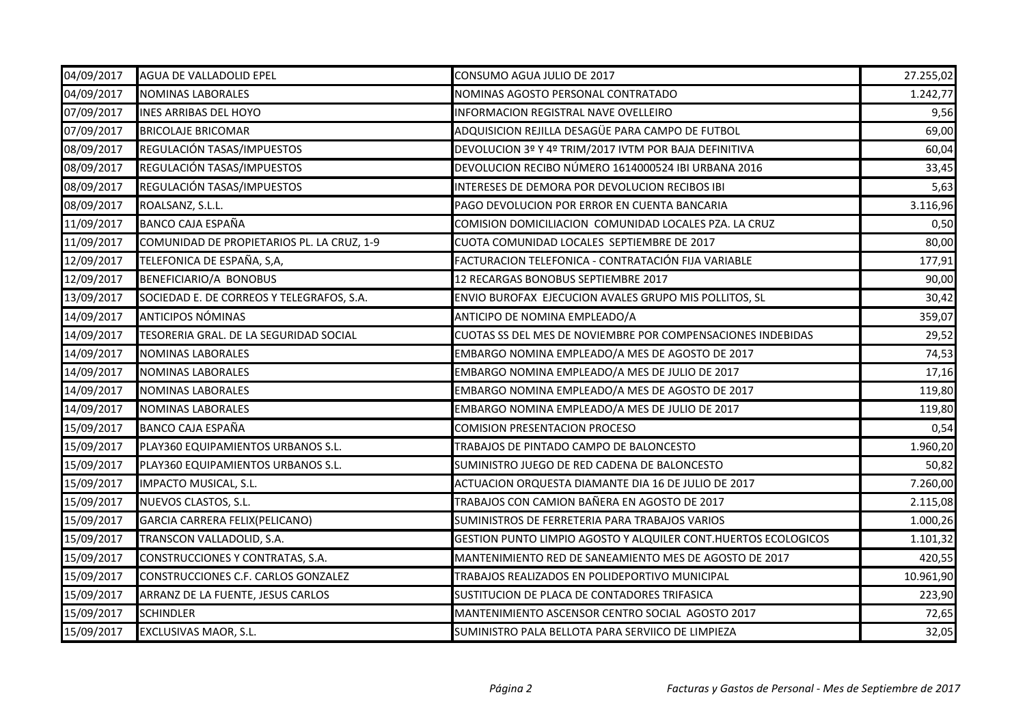| 04/09/2017 | AGUA DE VALLADOLID EPEL                    | CONSUMO AGUA JULIO DE 2017                                     | 27.255,02 |
|------------|--------------------------------------------|----------------------------------------------------------------|-----------|
| 04/09/2017 | <b>NOMINAS LABORALES</b>                   | NOMINAS AGOSTO PERSONAL CONTRATADO                             | 1.242,77  |
| 07/09/2017 | <b>INES ARRIBAS DEL HOYO</b>               | INFORMACION REGISTRAL NAVE OVELLEIRO                           | 9,56      |
| 07/09/2017 | <b>BRICOLAJE BRICOMAR</b>                  | ADQUISICION REJILLA DESAGÜE PARA CAMPO DE FUTBOL               | 69,00     |
| 08/09/2017 | REGULACIÓN TASAS/IMPUESTOS                 | DEVOLUCION 3º Y 4º TRIM/2017 IVTM POR BAJA DEFINITIVA          | 60,04     |
| 08/09/2017 | REGULACIÓN TASAS/IMPUESTOS                 | DEVOLUCION RECIBO NÚMERO 1614000524 IBI URBANA 2016            | 33,45     |
| 08/09/2017 | REGULACIÓN TASAS/IMPUESTOS                 | INTERESES DE DEMORA POR DEVOLUCION RECIBOS IBI                 | 5,63      |
| 08/09/2017 | ROALSANZ, S.L.L.                           | PAGO DEVOLUCION POR ERROR EN CUENTA BANCARIA                   | 3.116,96  |
| 11/09/2017 | BANCO CAJA ESPAÑA                          | COMISION DOMICILIACION COMUNIDAD LOCALES PZA. LA CRUZ          | 0,50      |
| 11/09/2017 | COMUNIDAD DE PROPIETARIOS PL. LA CRUZ, 1-9 | CUOTA COMUNIDAD LOCALES SEPTIEMBRE DE 2017                     | 80,00     |
| 12/09/2017 | TELEFONICA DE ESPAÑA, S,A,                 | FACTURACION TELEFONICA - CONTRATACIÓN FIJA VARIABLE            | 177,91    |
| 12/09/2017 | BENEFICIARIO/A BONOBUS                     | 12 RECARGAS BONOBUS SEPTIEMBRE 2017                            | 90,00     |
| 13/09/2017 | SOCIEDAD E. DE CORREOS Y TELEGRAFOS, S.A.  | ENVIO BUROFAX EJECUCION AVALES GRUPO MIS POLLITOS, SL          | 30,42     |
| 14/09/2017 | <b>ANTICIPOS NÓMINAS</b>                   | ANTICIPO DE NOMINA EMPLEADO/A                                  | 359,07    |
| 14/09/2017 | TESORERIA GRAL. DE LA SEGURIDAD SOCIAL     | CUOTAS SS DEL MES DE NOVIEMBRE POR COMPENSACIONES INDEBIDAS    | 29,52     |
| 14/09/2017 | <b>NOMINAS LABORALES</b>                   | EMBARGO NOMINA EMPLEADO/A MES DE AGOSTO DE 2017                | 74,53     |
| 14/09/2017 | <b>NOMINAS LABORALES</b>                   | EMBARGO NOMINA EMPLEADO/A MES DE JULIO DE 2017                 | 17,16     |
| 14/09/2017 | <b>NOMINAS LABORALES</b>                   | EMBARGO NOMINA EMPLEADO/A MES DE AGOSTO DE 2017                | 119,80    |
| 14/09/2017 | <b>NOMINAS LABORALES</b>                   | EMBARGO NOMINA EMPLEADO/A MES DE JULIO DE 2017                 | 119,80    |
| 15/09/2017 | <b>BANCO CAJA ESPAÑA</b>                   | COMISION PRESENTACION PROCESO                                  | 0,54      |
| 15/09/2017 | PLAY360 EQUIPAMIENTOS URBANOS S.L.         | TRABAJOS DE PINTADO CAMPO DE BALONCESTO                        | 1.960,20  |
| 15/09/2017 | PLAY360 EQUIPAMIENTOS URBANOS S.L.         | SUMINISTRO JUEGO DE RED CADENA DE BALONCESTO                   | 50,82     |
| 15/09/2017 | IMPACTO MUSICAL, S.L.                      | ACTUACION ORQUESTA DIAMANTE DIA 16 DE JULIO DE 2017            | 7.260,00  |
| 15/09/2017 | NUEVOS CLASTOS, S.L.                       | TRABAJOS CON CAMION BAÑERA EN AGOSTO DE 2017                   | 2.115,08  |
| 15/09/2017 | GARCIA CARRERA FELIX(PELICANO)             | SUMINISTROS DE FERRETERIA PARA TRABAJOS VARIOS                 | 1.000,26  |
| 15/09/2017 | TRANSCON VALLADOLID, S.A.                  | GESTION PUNTO LIMPIO AGOSTO Y ALQUILER CONT.HUERTOS ECOLOGICOS | 1.101,32  |
| 15/09/2017 | CONSTRUCCIONES Y CONTRATAS, S.A.           | MANTENIMIENTO RED DE SANEAMIENTO MES DE AGOSTO DE 2017         | 420,55    |
| 15/09/2017 | CONSTRUCCIONES C.F. CARLOS GONZALEZ        | TRABAJOS REALIZADOS EN POLIDEPORTIVO MUNICIPAL                 | 10.961,90 |
| 15/09/2017 | ARRANZ DE LA FUENTE, JESUS CARLOS          | SUSTITUCION DE PLACA DE CONTADORES TRIFASICA                   | 223,90    |
| 15/09/2017 | <b>SCHINDLER</b>                           | MANTENIMIENTO ASCENSOR CENTRO SOCIAL AGOSTO 2017               | 72,65     |
| 15/09/2017 | EXCLUSIVAS MAOR, S.L.                      | SUMINISTRO PALA BELLOTA PARA SERVIICO DE LIMPIEZA              | 32,05     |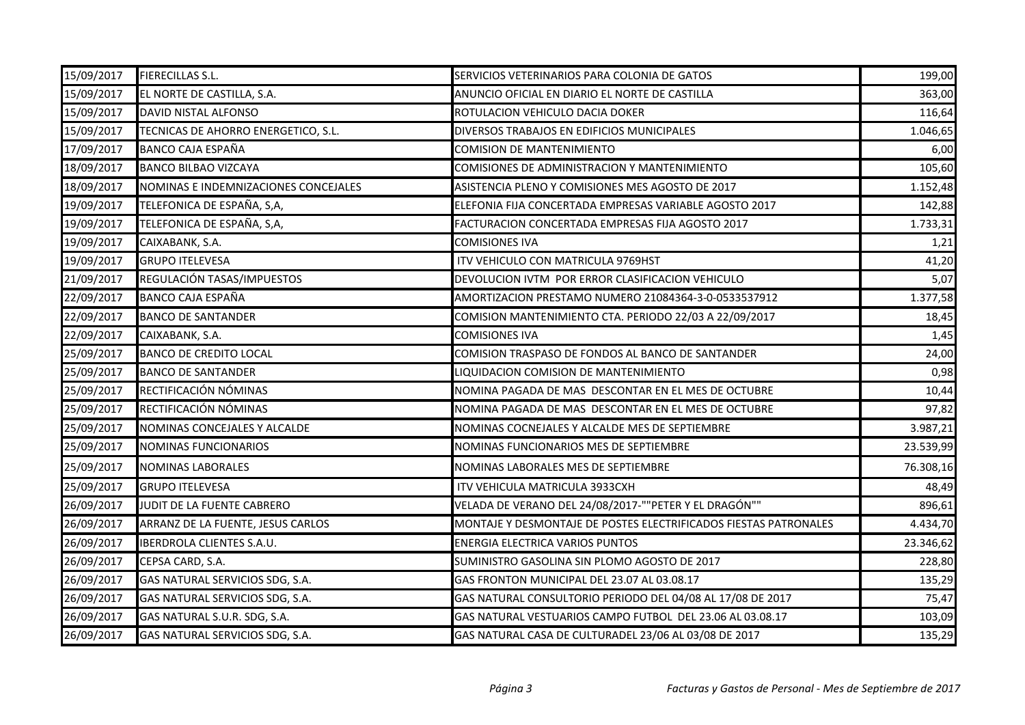| 15/09/2017 | <b>FIERECILLAS S.L.</b>              | SERVICIOS VETERINARIOS PARA COLONIA DE GATOS                     | 199,00    |
|------------|--------------------------------------|------------------------------------------------------------------|-----------|
| 15/09/2017 | EL NORTE DE CASTILLA, S.A.           | ANUNCIO OFICIAL EN DIARIO EL NORTE DE CASTILLA                   | 363,00    |
| 15/09/2017 | DAVID NISTAL ALFONSO                 | ROTULACION VEHICULO DACIA DOKER                                  | 116,64    |
| 15/09/2017 | TECNICAS DE AHORRO ENERGETICO, S.L.  | DIVERSOS TRABAJOS EN EDIFICIOS MUNICIPALES                       | 1.046,65  |
| 17/09/2017 | <b>BANCO CAJA ESPAÑA</b>             | <b>COMISION DE MANTENIMIENTO</b>                                 | 6,00      |
| 18/09/2017 | <b>BANCO BILBAO VIZCAYA</b>          | COMISIONES DE ADMINISTRACION Y MANTENIMIENTO                     | 105,60    |
| 18/09/2017 | NOMINAS E INDEMNIZACIONES CONCEJALES | ASISTENCIA PLENO Y COMISIONES MES AGOSTO DE 2017                 | 1.152,48  |
| 19/09/2017 | TELEFONICA DE ESPAÑA, S,A,           | ELEFONIA FIJA CONCERTADA EMPRESAS VARIABLE AGOSTO 2017           | 142,88    |
| 19/09/2017 | TELEFONICA DE ESPAÑA, S,A,           | FACTURACION CONCERTADA EMPRESAS FIJA AGOSTO 2017                 | 1.733,31  |
| 19/09/2017 | CAIXABANK, S.A.                      | <b>COMISIONES IVA</b>                                            | 1,21      |
| 19/09/2017 | <b>GRUPO ITELEVESA</b>               | ITV VEHICULO CON MATRICULA 9769HST                               | 41,20     |
| 21/09/2017 | REGULACIÓN TASAS/IMPUESTOS           | DEVOLUCION IVTM POR ERROR CLASIFICACION VEHICULO                 | 5,07      |
| 22/09/2017 | BANCO CAJA ESPAÑA                    | AMORTIZACION PRESTAMO NUMERO 21084364-3-0-0533537912             | 1.377,58  |
| 22/09/2017 | <b>BANCO DE SANTANDER</b>            | COMISION MANTENIMIENTO CTA. PERIODO 22/03 A 22/09/2017           | 18,45     |
| 22/09/2017 | CAIXABANK, S.A.                      | <b>COMISIONES IVA</b>                                            | 1,45      |
| 25/09/2017 | <b>BANCO DE CREDITO LOCAL</b>        | COMISION TRASPASO DE FONDOS AL BANCO DE SANTANDER                | 24,00     |
| 25/09/2017 | <b>BANCO DE SANTANDER</b>            | LIQUIDACION COMISION DE MANTENIMIENTO                            | 0,98      |
| 25/09/2017 | RECTIFICACIÓN NÓMINAS                | NOMINA PAGADA DE MAS DESCONTAR EN EL MES DE OCTUBRE              | 10,44     |
| 25/09/2017 | RECTIFICACIÓN NÓMINAS                | NOMINA PAGADA DE MAS DESCONTAR EN EL MES DE OCTUBRE              | 97,82     |
| 25/09/2017 | NOMINAS CONCEJALES Y ALCALDE         | NOMINAS COCNEJALES Y ALCALDE MES DE SEPTIEMBRE                   | 3.987,21  |
| 25/09/2017 | NOMINAS FUNCIONARIOS                 | NOMINAS FUNCIONARIOS MES DE SEPTIEMBRE                           | 23.539,99 |
| 25/09/2017 | NOMINAS LABORALES                    | NOMINAS LABORALES MES DE SEPTIEMBRE                              | 76.308,16 |
| 25/09/2017 | <b>GRUPO ITELEVESA</b>               | ITV VEHICULA MATRICULA 3933CXH                                   | 48,49     |
| 26/09/2017 | JUDIT DE LA FUENTE CABRERO           | VELADA DE VERANO DEL 24/08/2017-""PETER Y EL DRAGÓN""            | 896,61    |
| 26/09/2017 | ARRANZ DE LA FUENTE, JESUS CARLOS    | MONTAJE Y DESMONTAJE DE POSTES ELECTRIFICADOS FIESTAS PATRONALES | 4.434,70  |
| 26/09/2017 | <b>IBERDROLA CLIENTES S.A.U.</b>     | <b>ENERGIA ELECTRICA VARIOS PUNTOS</b>                           | 23.346,62 |
| 26/09/2017 | CEPSA CARD, S.A.                     | SUMINISTRO GASOLINA SIN PLOMO AGOSTO DE 2017                     | 228,80    |
| 26/09/2017 | GAS NATURAL SERVICIOS SDG, S.A.      | GAS FRONTON MUNICIPAL DEL 23.07 AL 03.08.17                      | 135,29    |
| 26/09/2017 | GAS NATURAL SERVICIOS SDG, S.A.      | GAS NATURAL CONSULTORIO PERIODO DEL 04/08 AL 17/08 DE 2017       | 75,47     |
| 26/09/2017 | GAS NATURAL S.U.R. SDG, S.A.         | GAS NATURAL VESTUARIOS CAMPO FUTBOL DEL 23.06 AL 03.08.17        | 103,09    |
| 26/09/2017 | GAS NATURAL SERVICIOS SDG, S.A.      | GAS NATURAL CASA DE CULTURADEL 23/06 AL 03/08 DE 2017            | 135,29    |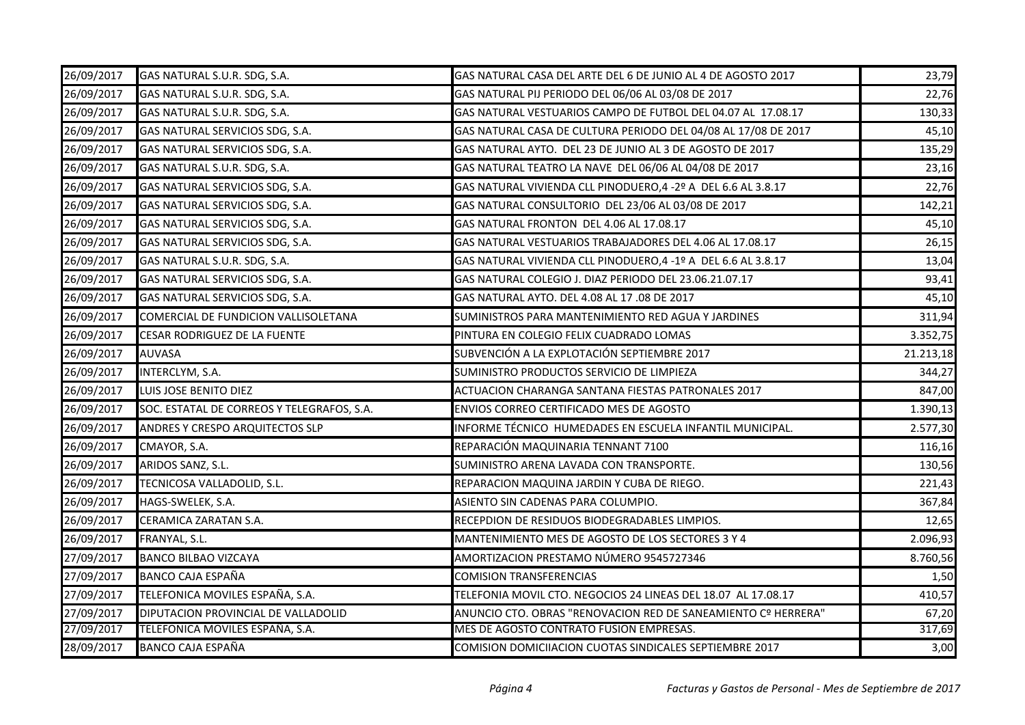| 26/09/2017 | GAS NATURAL S.U.R. SDG, S.A.               | GAS NATURAL CASA DEL ARTE DEL 6 DE JUNIO AL 4 DE AGOSTO 2017   | 23,79     |
|------------|--------------------------------------------|----------------------------------------------------------------|-----------|
| 26/09/2017 | GAS NATURAL S.U.R. SDG, S.A.               | GAS NATURAL PIJ PERIODO DEL 06/06 AL 03/08 DE 2017             | 22,76     |
| 26/09/2017 | GAS NATURAL S.U.R. SDG, S.A.               | GAS NATURAL VESTUARIOS CAMPO DE FUTBOL DEL 04.07 AL 17.08.17   | 130,33    |
| 26/09/2017 | GAS NATURAL SERVICIOS SDG, S.A.            | GAS NATURAL CASA DE CULTURA PERIODO DEL 04/08 AL 17/08 DE 2017 | 45,10     |
| 26/09/2017 | GAS NATURAL SERVICIOS SDG, S.A.            | GAS NATURAL AYTO. DEL 23 DE JUNIO AL 3 DE AGOSTO DE 2017       | 135,29    |
| 26/09/2017 | GAS NATURAL S.U.R. SDG, S.A.               | GAS NATURAL TEATRO LA NAVE DEL 06/06 AL 04/08 DE 2017          | 23,16     |
| 26/09/2017 | GAS NATURAL SERVICIOS SDG, S.A.            | GAS NATURAL VIVIENDA CLL PINODUERO, 4 - 2º A DEL 6.6 AL 3.8.17 | 22,76     |
| 26/09/2017 | GAS NATURAL SERVICIOS SDG, S.A.            | GAS NATURAL CONSULTORIO DEL 23/06 AL 03/08 DE 2017             | 142,21    |
| 26/09/2017 | GAS NATURAL SERVICIOS SDG, S.A.            | GAS NATURAL FRONTON DEL 4.06 AL 17.08.17                       | 45,10     |
| 26/09/2017 | GAS NATURAL SERVICIOS SDG, S.A.            | GAS NATURAL VESTUARIOS TRABAJADORES DEL 4.06 AL 17.08.17       | 26,15     |
| 26/09/2017 | GAS NATURAL S.U.R. SDG, S.A.               | GAS NATURAL VIVIENDA CLL PINODUERO, 4 - 1º A DEL 6.6 AL 3.8.17 | 13,04     |
| 26/09/2017 | GAS NATURAL SERVICIOS SDG, S.A.            | GAS NATURAL COLEGIO J. DIAZ PERIODO DEL 23.06.21.07.17         | 93,41     |
| 26/09/2017 | GAS NATURAL SERVICIOS SDG, S.A.            | GAS NATURAL AYTO. DEL 4.08 AL 17 .08 DE 2017                   | 45,10     |
| 26/09/2017 | COMERCIAL DE FUNDICION VALLISOLETANA       | SUMINISTROS PARA MANTENIMIENTO RED AGUA Y JARDINES             | 311,94    |
| 26/09/2017 | <b>CESAR RODRIGUEZ DE LA FUENTE</b>        | PINTURA EN COLEGIO FELIX CUADRADO LOMAS                        | 3.352,75  |
| 26/09/2017 | <b>AUVASA</b>                              | SUBVENCIÓN A LA EXPLOTACIÓN SEPTIEMBRE 2017                    | 21.213,18 |
| 26/09/2017 | INTERCLYM, S.A.                            | SUMINISTRO PRODUCTOS SERVICIO DE LIMPIEZA                      | 344,27    |
| 26/09/2017 | LUIS JOSE BENITO DIEZ                      | ACTUACION CHARANGA SANTANA FIESTAS PATRONALES 2017             | 847,00    |
| 26/09/2017 | SOC. ESTATAL DE CORREOS Y TELEGRAFOS, S.A. | ENVIOS CORREO CERTIFICADO MES DE AGOSTO                        | 1.390,13  |
| 26/09/2017 | ANDRES Y CRESPO ARQUITECTOS SLP            | INFORME TÉCNICO HUMEDADES EN ESCUELA INFANTIL MUNICIPAL.       | 2.577,30  |
| 26/09/2017 | CMAYOR, S.A.                               | REPARACIÓN MAQUINARIA TENNANT 7100                             | 116,16    |
| 26/09/2017 | ARIDOS SANZ, S.L.                          | SUMINISTRO ARENA LAVADA CON TRANSPORTE.                        | 130,56    |
| 26/09/2017 | TECNICOSA VALLADOLID, S.L.                 | REPARACION MAQUINA JARDIN Y CUBA DE RIEGO.                     | 221,43    |
| 26/09/2017 | HAGS-SWELEK, S.A.                          | ASIENTO SIN CADENAS PARA COLUMPIO.                             | 367,84    |
| 26/09/2017 | CERAMICA ZARATAN S.A.                      | RECEPDION DE RESIDUOS BIODEGRADABLES LIMPIOS.                  | 12,65     |
| 26/09/2017 | FRANYAL, S.L.                              | MANTENIMIENTO MES DE AGOSTO DE LOS SECTORES 3 Y 4              | 2.096,93  |
| 27/09/2017 | <b>BANCO BILBAO VIZCAYA</b>                | AMORTIZACION PRESTAMO NÚMERO 9545727346                        | 8.760,56  |
| 27/09/2017 | <b>BANCO CAJA ESPAÑA</b>                   | <b>COMISION TRANSFERENCIAS</b>                                 | 1,50      |
| 27/09/2017 | TELEFONICA MOVILES ESPAÑA, S.A.            | TELEFONIA MOVIL CTO. NEGOCIOS 24 LINEAS DEL 18.07 AL 17.08.17  | 410,57    |
| 27/09/2017 | DIPUTACION PROVINCIAL DE VALLADOLID        | ANUNCIO CTO. OBRAS "RENOVACION RED DE SANEAMIENTO Cº HERRERA"  | 67,20     |
| 27/09/2017 | TELEFONICA MOVILES ESPAÑA, S.A.            | MES DE AGOSTO CONTRATO FUSION EMPRESAS.                        | 317,69    |
| 28/09/2017 | <b>BANCO CAJA ESPAÑA</b>                   | COMISION DOMICIIACION CUOTAS SINDICALES SEPTIEMBRE 2017        | 3,00      |